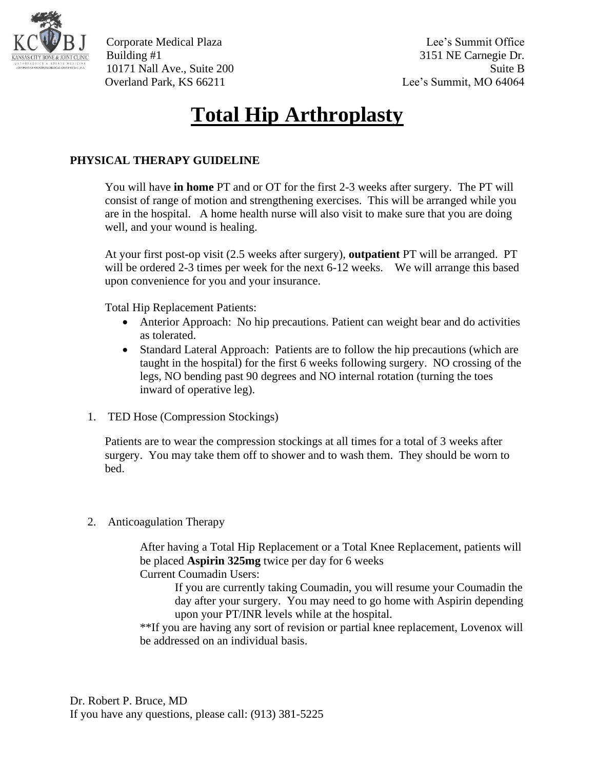

Building #1 3151 NE Carnegie Dr. 10171 Nall Ave., Suite 200 Suite B Overland Park, KS 66211 Lee's Summit, MO 64064

## **Total Hip Arthroplasty**

## **PHYSICAL THERAPY GUIDELINE**

You will have **in home** PT and or OT for the first 2-3 weeks after surgery. The PT will consist of range of motion and strengthening exercises. This will be arranged while you are in the hospital. A home health nurse will also visit to make sure that you are doing well, and your wound is healing.

At your first post-op visit (2.5 weeks after surgery), **outpatient** PT will be arranged. PT will be ordered 2-3 times per week for the next 6-12 weeks. We will arrange this based upon convenience for you and your insurance.

Total Hip Replacement Patients:

- Anterior Approach: No hip precautions. Patient can weight bear and do activities as tolerated.
- Standard Lateral Approach: Patients are to follow the hip precautions (which are taught in the hospital) for the first 6 weeks following surgery. NO crossing of the legs, NO bending past 90 degrees and NO internal rotation (turning the toes inward of operative leg).
- 1. TED Hose (Compression Stockings)

Patients are to wear the compression stockings at all times for a total of 3 weeks after surgery. You may take them off to shower and to wash them. They should be worn to bed.

2. Anticoagulation Therapy

After having a Total Hip Replacement or a Total Knee Replacement, patients will be placed **Aspirin 325mg** twice per day for 6 weeks

Current Coumadin Users:

If you are currently taking Coumadin, you will resume your Coumadin the day after your surgery. You may need to go home with Aspirin depending upon your PT/INR levels while at the hospital.

\*\*If you are having any sort of revision or partial knee replacement, Lovenox will be addressed on an individual basis.